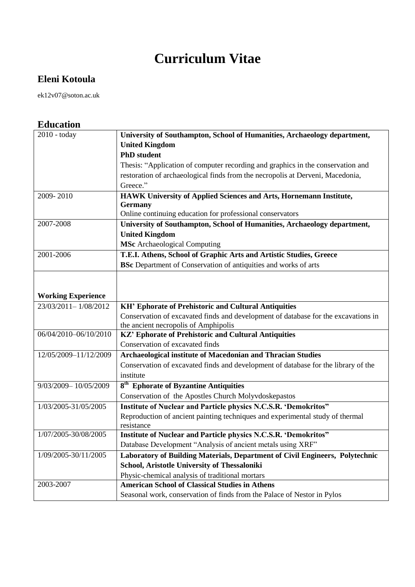## **Curriculum Vitae**

## **Eleni Kotoula**

ek12v07@soton.ac.uk

| <b>Education</b>          |                                                                                    |
|---------------------------|------------------------------------------------------------------------------------|
| 2010 - today              | University of Southampton, School of Humanities, Archaeology department,           |
|                           | <b>United Kingdom</b>                                                              |
|                           | <b>PhD</b> student                                                                 |
|                           | Thesis: "Application of computer recording and graphics in the conservation and    |
|                           | restoration of archaeological finds from the necropolis at Derveni, Macedonia,     |
|                           | Greece."                                                                           |
| 2009-2010                 | HAWK University of Applied Sciences and Arts, Hornemann Institute,                 |
|                           | <b>Germany</b>                                                                     |
|                           | Online continuing education for professional conservators                          |
| 2007-2008                 | University of Southampton, School of Humanities, Archaeology department,           |
|                           | <b>United Kingdom</b>                                                              |
|                           | <b>MSc</b> Archaeological Computing                                                |
| 2001-2006                 | T.E.I. Athens, School of Graphic Arts and Artistic Studies, Greece                 |
|                           | BSc Department of Conservation of antiquities and works of arts                    |
|                           |                                                                                    |
|                           |                                                                                    |
| <b>Working Experience</b> |                                                                                    |
| 23/03/2011-1/08/2012      | <b>KH' Ephorate of Prehistoric and Cultural Antiquities</b>                        |
|                           | Conservation of excavated finds and development of database for the excavations in |
|                           | the ancient necropolis of Amphipolis                                               |
| 06/04/2010-06/10/2010     | KZ' Ephorate of Prehistoric and Cultural Antiquities                               |
|                           | Conservation of excavated finds                                                    |
| 12/05/2009-11/12/2009     | Archaeological institute of Macedonian and Thracian Studies                        |
|                           | Conservation of excavated finds and development of database for the library of the |
|                           | institute                                                                          |
| 9/03/2009-10/05/2009      | 8 <sup>th</sup> Ephorate of Byzantine Antiquities                                  |
|                           | Conservation of the Apostles Church Molyvdoskepastos                               |
| 1/03/2005-31/05/2005      | <b>Institute of Nuclear and Particle physics N.C.S.R. 'Demokritos"</b>             |
|                           | Reproduction of ancient painting techniques and experimental study of thermal      |
|                           | resistance                                                                         |
| 1/07/2005-30/08/2005      | <b>Institute of Nuclear and Particle physics N.C.S.R. 'Demokritos"</b>             |
|                           | Database Development "Analysis of ancient metals using XRF"                        |
| 1/09/2005-30/11/2005      | Laboratory of Building Materials, Department of Civil Engineers, Polytechnic       |

**School, Aristotle University of Thessaloniki**  Physic-chemical analysis of traditional mortars

Seasonal work, conservation of finds from the Palace of Nestor in Pylos

2003-2007 **American School of Classical Studies in Athens**